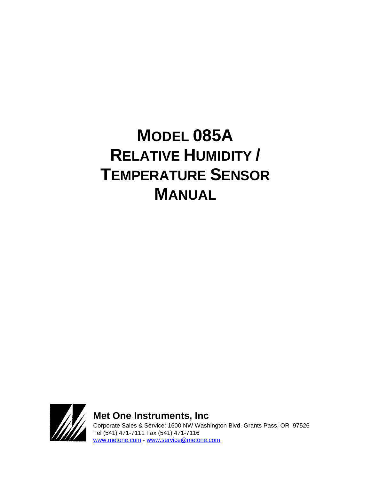# **MODEL 085A RELATIVE HUMIDITY / TEMPERATURE SENSOR MANUAL**



**Met One Instruments, Inc**  Corporate Sales & Service: 1600 NW Washington Blvd. Grants Pass, OR 97526 Tel (541) 471-7111 Fax (541) 471-7116 [www.metone.com](http://www.metone.com/) - [www.service@metone.com](http://www.service@metone.com)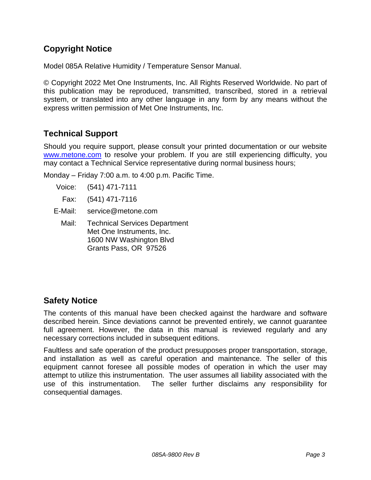## **Copyright Notice**

Model 085A Relative Humidity / Temperature Sensor Manual.

© Copyright 2022 Met One Instruments, Inc. All Rights Reserved Worldwide. No part of this publication may be reproduced, transmitted, transcribed, stored in a retrieval system, or translated into any other language in any form by any means without the express written permission of Met One Instruments, Inc.

## **Technical Support**

Should you require support, please consult your printed documentation or our website [www.metone.com](http://www.metone.com/) to resolve your problem. If you are still experiencing difficulty, you may contact a Technical Service representative during normal business hours;

Monday – Friday 7:00 a.m. to 4:00 p.m. Pacific Time.

- Voice: (541) 471-7111
- Fax: (541) 471-7116
- E-Mail: service@metone.com
	- Mail: Technical Services Department Met One Instruments, Inc. 1600 NW Washington Blvd Grants Pass, OR 97526

## **Safety Notice**

The contents of this manual have been checked against the hardware and software described herein. Since deviations cannot be prevented entirely, we cannot guarantee full agreement. However, the data in this manual is reviewed regularly and any necessary corrections included in subsequent editions.

Faultless and safe operation of the product presupposes proper transportation, storage, and installation as well as careful operation and maintenance. The seller of this equipment cannot foresee all possible modes of operation in which the user may attempt to utilize this instrumentation. The user assumes all liability associated with the use of this instrumentation. The seller further disclaims any responsibility for consequential damages.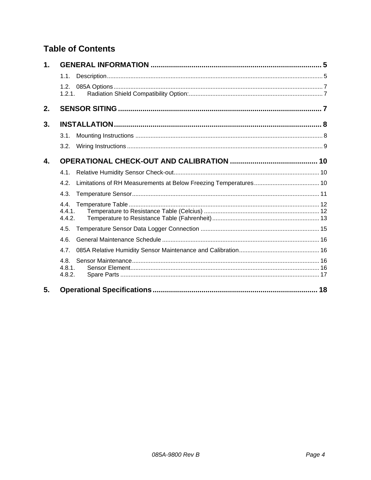## **Table of Contents**

| $\mathbf 1$ . |                         |    |
|---------------|-------------------------|----|
|               | 1.1.                    |    |
|               | 1.2.<br>1.2.1.          |    |
| 2.            |                         |    |
| 3.            |                         |    |
|               | 3.1.                    |    |
|               | 3.2.                    |    |
| 4.            |                         |    |
|               | 4.1.                    |    |
|               | 4.2.                    |    |
|               | 4.3.                    |    |
|               | 4.4.<br>4.4.1<br>4.4.2. |    |
|               | 4.5.                    |    |
|               | 4.6.                    |    |
|               | 4.7.                    |    |
|               | 4.8.<br>4.8.1<br>4.8.2. |    |
| 5.            |                         | 18 |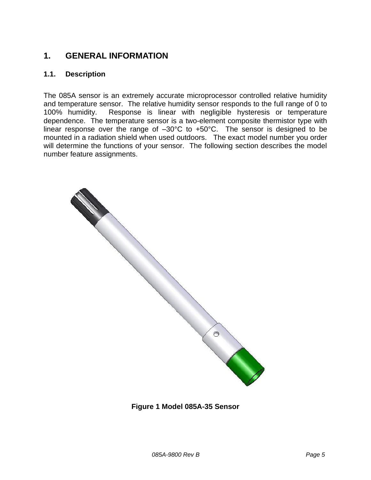## <span id="page-4-0"></span>**1. GENERAL INFORMATION**

#### <span id="page-4-1"></span>**1.1. Description**

The 085A sensor is an extremely accurate microprocessor controlled relative humidity and temperature sensor. The relative humidity sensor responds to the full range of 0 to 100% humidity. Response is linear with negligible hysteresis or temperature dependence. The temperature sensor is a two-element composite thermistor type with linear response over the range of  $-30^{\circ}$ C to  $+50^{\circ}$ C. The sensor is designed to be mounted in a radiation shield when used outdoors. The exact model number you order will determine the functions of your sensor. The following section describes the model number feature assignments.



**Figure 1 Model 085A-35 Sensor**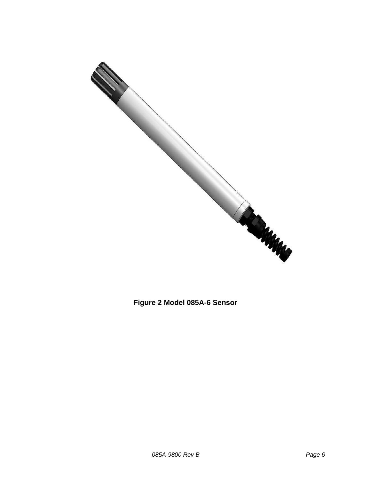

**Figure 2 Model 085A-6 Sensor**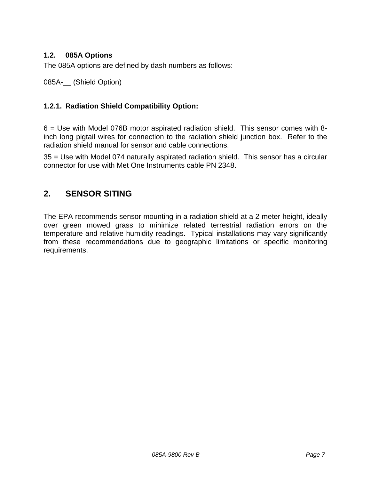## <span id="page-6-0"></span>**1.2. 085A Options**

The 085A options are defined by dash numbers as follows:

085A-\_\_ (Shield Option)

#### <span id="page-6-1"></span>**1.2.1. Radiation Shield Compatibility Option:**

6 = Use with Model 076B motor aspirated radiation shield. This sensor comes with 8 inch long pigtail wires for connection to the radiation shield junction box. Refer to the radiation shield manual for sensor and cable connections.

35 = Use with Model 074 naturally aspirated radiation shield. This sensor has a circular connector for use with Met One Instruments cable PN 2348.

## <span id="page-6-2"></span>**2. SENSOR SITING**

The EPA recommends sensor mounting in a radiation shield at a 2 meter height, ideally over green mowed grass to minimize related terrestrial radiation errors on the temperature and relative humidity readings. Typical installations may vary significantly from these recommendations due to geographic limitations or specific monitoring requirements.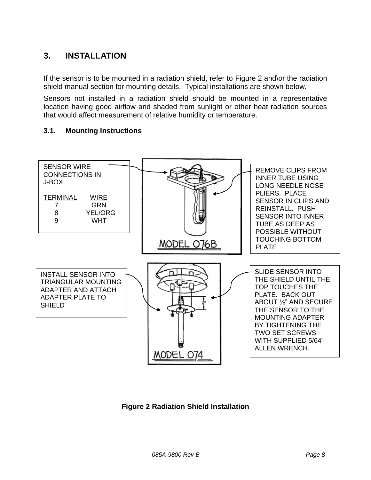## <span id="page-7-0"></span>**3. INSTALLATION**

If the sensor is to be mounted in a radiation shield, refer to Figure 2 and\or the radiation shield manual section for mounting details. Typical installations are shown below.

Sensors not installed in a radiation shield should be mounted in a representative location having good airflow and shaded from sunlight or other heat radiation sources that would affect measurement of relative humidity or temperature.

#### <span id="page-7-1"></span>**3.1. Mounting Instructions**



**Figure 2 Radiation Shield Installation**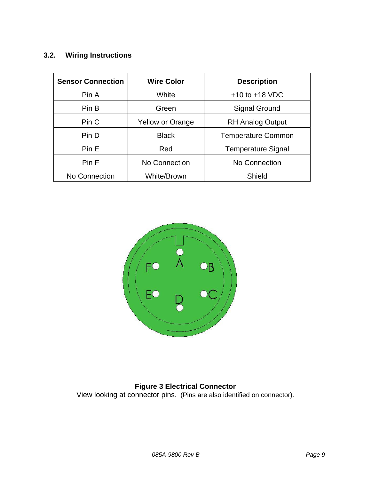## <span id="page-8-0"></span>**3.2. Wiring Instructions**

| <b>Sensor Connection</b>     | <b>Wire Color</b>       | <b>Description</b>        |
|------------------------------|-------------------------|---------------------------|
| Pin A                        | White                   | $+10$ to $+18$ VDC        |
| Pin B                        | Green                   | <b>Signal Ground</b>      |
| Pin C                        | <b>Yellow or Orange</b> | <b>RH Analog Output</b>   |
| Pin D                        | <b>Black</b>            | <b>Temperature Common</b> |
| Pin E                        | Red                     | <b>Temperature Signal</b> |
| Pin F<br>No Connection       |                         | No Connection             |
| White/Brown<br>No Connection |                         | Shield                    |



#### **Figure 3 Electrical Connector**

View looking at connector pins. (Pins are also identified on connector).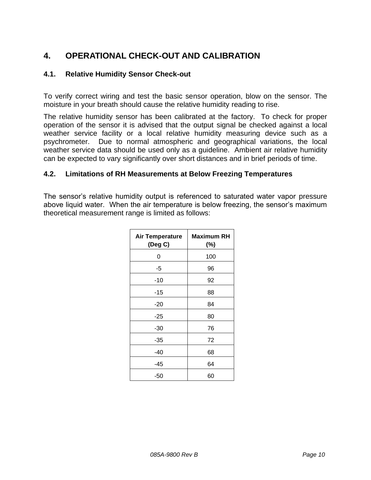## <span id="page-9-0"></span>**4. OPERATIONAL CHECK-OUT AND CALIBRATION**

#### <span id="page-9-1"></span>**4.1. Relative Humidity Sensor Check-out**

To verify correct wiring and test the basic sensor operation, blow on the sensor. The moisture in your breath should cause the relative humidity reading to rise.

The relative humidity sensor has been calibrated at the factory. To check for proper operation of the sensor it is advised that the output signal be checked against a local weather service facility or a local relative humidity measuring device such as a psychrometer. Due to normal atmospheric and geographical variations, the local weather service data should be used only as a guideline. Ambient air relative humidity can be expected to vary significantly over short distances and in brief periods of time.

#### <span id="page-9-2"></span>**4.2. Limitations of RH Measurements at Below Freezing Temperatures**

The sensor's relative humidity output is referenced to saturated water vapor pressure above liquid water. When the air temperature is below freezing, the sensor's maximum theoretical measurement range is limited as follows:

| <b>Air Temperature</b><br>(Deg C) | Maximum RH<br>(%) |
|-----------------------------------|-------------------|
| 0                                 | 100               |
| -5                                | 96                |
| $-10$                             | 92                |
| -15                               | 88                |
| $-20$                             | 84                |
| $-25$                             | 80                |
| -30                               | 76                |
| -35                               | 72                |
| -40                               | 68                |
| -45                               | 64                |
| -50                               | 60                |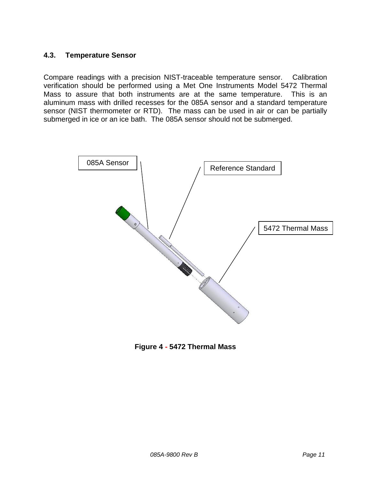#### <span id="page-10-0"></span>**4.3. Temperature Sensor**

Compare readings with a precision NIST-traceable temperature sensor. Calibration verification should be performed using a Met One Instruments Model 5472 Thermal Mass to assure that both instruments are at the same temperature. This is an aluminum mass with drilled recesses for the 085A sensor and a standard temperature sensor (NIST thermometer or RTD). The mass can be used in air or can be partially submerged in ice or an ice bath. The 085A sensor should not be submerged.



**Figure 4 - 5472 Thermal Mass**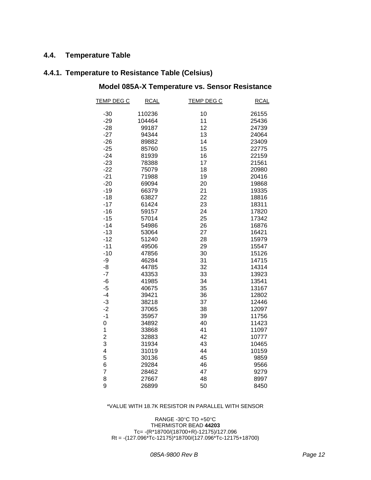#### <span id="page-11-0"></span>**4.4. Temperature Table**

## <span id="page-11-1"></span>**4.4.1. Temperature to Resistance Table (Celsius)**

## **Model 085A-X Temperature vs. Sensor Resistance**

| <b>TEMP DEG C</b>       | <b>RCAL</b> | <b>TEMP DEG C</b> | <b>RCAL</b> |
|-------------------------|-------------|-------------------|-------------|
| $-30$                   | 110236      | 10                | 26155       |
| $-29$                   | 104464      | 11                | 25436       |
| $-28$                   | 99187       | 12                | 24739       |
| $-27$                   | 94344       | 13                | 24064       |
| $-26$                   | 89882       | 14                | 23409       |
| $-25$                   | 85760       | 15                | 22775       |
| $-24$                   | 81939       | 16                | 22159       |
| $-23$                   | 78388       | 17                | 21561       |
| $-22$                   | 75079       | 18                | 20980       |
| $-21$                   | 71988       | 19                | 20416       |
| $-20$                   | 69094       | 20                | 19868       |
| $-19$                   | 66379       | 21                | 19335       |
| $-18$                   | 63827       | 22                | 18816       |
| $-17$                   | 61424       | 23                | 18311       |
| $-16$                   | 59157       | 24                | 17820       |
| $-15$                   | 57014       | 25                | 17342       |
| $-14$                   | 54986       | 26                | 16876       |
| $-13$                   | 53064       | 27                | 16421       |
| $-12$                   | 51240       | 28                | 15979       |
| $-11$                   | 49506       | 29                | 15547       |
| $-10$                   | 47856       | 30                | 15126       |
| -9                      | 46284       | 31                | 14715       |
| -8                      | 44785       | 32                | 14314       |
| $-7$                    | 43353       | 33                | 13923       |
| -6                      | 41985       | 34                | 13541       |
| $-5$                    | 40675       | 35                | 13167       |
| $-4$                    | 39421       | 36                | 12802       |
| -3                      | 38218       | 37                | 12446       |
| $-2$                    | 37065       | 38                | 12097       |
| $-1$                    | 35957       | 39                | 11756       |
| 0                       | 34892       | 40                | 11423       |
| $\mathbf 1$             | 33868       | 41                | 11097       |
| $\overline{\mathbf{c}}$ | 32883       | 42                | 10777       |
| 3                       | 31934       | 43                | 10465       |
| 4                       | 31019       | 44                | 10159       |
| 5                       | 30136       | 45                | 9859        |
| 6                       | 29284       | 46                | 9566        |
| $\overline{7}$          | 28462       | 47                | 9279        |
| 8                       | 27667       | 48                | 8997        |
| 9                       | 26899       | 50                | 8450        |

#### \*VALUE WITH 18.7K RESISTOR IN PARALLEL WITH SENSOR

RANGE -30°C TO +50°C THERMISTOR BEAD **44203** Tc= -(R\*18700/(18700+R)-12175)/127.096  $Rt = -(127.096 \times 76.12175) \times 18700/(127.096 \times 76.12175)$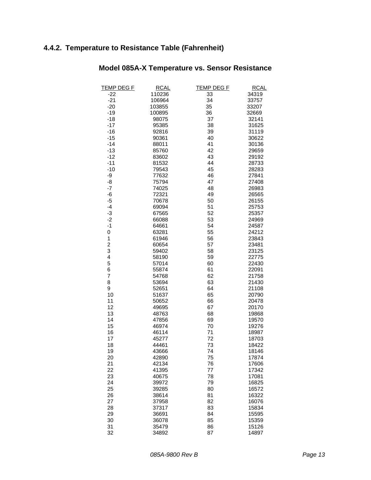## <span id="page-12-0"></span>**4.4.2. Temperature to Resistance Table (Fahrenheit)**

| <b>TEMP DEG F</b>       | <b>RCAL</b> | <b>TEMP DEG F</b> | <b>RCAL</b> |
|-------------------------|-------------|-------------------|-------------|
| $-22$                   | 110236      | 33                | 34319       |
| $-21$                   | 106964      | 34                | 33757       |
| $-20$                   | 103855      | 35                | 33207       |
| $-19$                   | 100895      | 36                | 32669       |
| $-18$                   | 98075       | 37                | 32141       |
| $-17$                   | 95385       | 38                | 31625       |
| $-16$                   | 92816       | 39                | 31119       |
| $-15$                   | 90361       | 40                | 30622       |
| $-14$                   | 88011       | 41                | 30136       |
| $-13$                   | 85760       | 42                | 29659       |
| $-12$                   | 83602       | 43                | 29192       |
| $-11$                   | 81532       | 44                | 28733       |
| $-10$                   | 79543       | 45                | 28283       |
| -9                      | 77632       | 46                | 27841       |
| -8                      | 75794       | 47                | 27408       |
| $-7$                    | 74025       | 48                | 26983       |
| -6                      | 72321       | 49                | 26565       |
| $-5$                    | 70678       | 50                | 26155       |
| $-4$                    | 69094       | 51                | 25753       |
| $-3$                    | 67565       | 52                | 25357       |
| $-2$                    | 66088       | 53                | 24969       |
| $-1$                    | 64661       | 54                | 24587       |
| $\pmb{0}$               | 63281       | 55                | 24212       |
| 1                       | 61946       | 56                | 23843       |
| $\overline{\mathbf{c}}$ | 60654       | 57                | 23481       |
| 3                       | 59402       | 58                | 23125       |
| $\overline{\mathbf{r}}$ | 58190       | 59                | 22775       |
| 5                       | 57014       | 60                | 22430       |
| 6                       | 55874       | 61                | 22091       |
| $\overline{7}$          | 54768       | 62                | 21758       |
| 8                       | 53694       | 63                | 21430       |
| 9                       | 52651       | 64                | 21108       |
| 10                      | 51637       | 65                | 20790       |
| 11                      | 50652       | 66                | 20478       |
| 12                      | 49695       | 67                | 20170       |
| 13                      | 48763       | 68                | 19868       |
| 14                      | 47856       | 69                | 19570       |
| 15                      | 46974       | 70                | 19276       |
| 16                      | 46114       | 71                | 18987       |
| 17                      | 45277       | 72                | 18703       |
| 18                      | 44461       | 73                | 18422       |
| 19                      | 43666       | 74                | 18146       |
| 20                      | 42890       | 75                | 17874       |
| 21                      | 42134       | 76                | 17606       |
| 22                      | 41395       | 77                | 17342       |
| 23                      | 40675       | 78                | 17081       |
| 24                      | 39972       | 79                | 16825       |
| 25                      | 39285       | 80                | 16572       |
| 26                      | 38614       | 81                | 16322       |
| 27                      | 37958       | 82                | 16076       |
| 28                      | 37317       | 83                | 15834       |
| 29                      | 36691       | 84                | 15595       |
| 30                      | 36078       |                   | 15359       |
| 31                      |             | 85<br>86          | 15126       |
|                         | 35479       |                   |             |
| 32                      | 34892       | 87                | 14897       |

## **Model 085A-X Temperature vs. Sensor Resistance**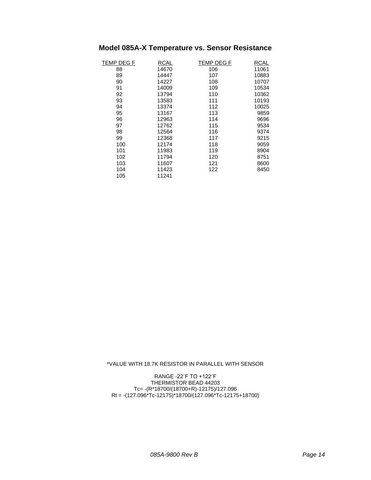## **Model 085A-X Temperature vs. Sensor Resistance**

| TEMP DEG F | <b>RCAL</b> | <b>TEMP DEG F</b> | <b>RCAL</b> |
|------------|-------------|-------------------|-------------|
| 88         | 14670       | 106               | 11061       |
| 89         | 14447       | 107               | 10883       |
| 90         | 14227       | 108               | 10707       |
| 91         | 14009       | 109               | 10534       |
| 92         | 13794       | 110               | 10362       |
| 93         | 13583       | 111               | 10193       |
| 94         | 13374       | 112               | 10025       |
| 95         | 13167       | 113               | 9859        |
| 96         | 12963       | 114               | 9696        |
| 97         | 12762       | 115               | 9534        |
| 98         | 12564       | 116               | 9374        |
| 99         | 12368       | 117               | 9215        |
| 100        | 12174       | 118               | 9059        |
| 101        | 11983       | 119               | 8904        |
| 102        | 11794       | 120               | 8751        |
| 103        | 11607       | 121               | 8600        |
| 104        | 11423       | 122               | 8450        |
| 105        | 11241       |                   |             |

\*VALUE WITH 18.7K RESISTOR IN PARALLEL WITH SENSOR

RANGE -22˚F TO +122˚F THERMISTOR BEAD 44203 Tc= -(R\*18700/(18700+R)-12175)/127.096 Rt = -(127.096\*Tc-12175)\*18700/(127.096\*Tc-12175+18700)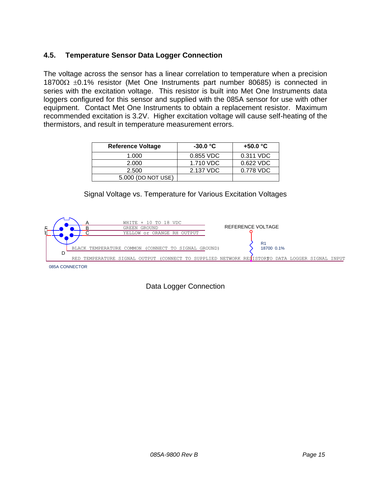## <span id="page-14-0"></span>**4.5. Temperature Sensor Data Logger Connection**

The voltage across the sensor has a linear correlation to temperature when a precision 18700 $\Omega$   $\pm$ 0.1% resistor (Met One Instruments part number 80685) is connected in series with the excitation voltage. This resistor is built into Met One Instruments data loggers configured for this sensor and supplied with the 085A sensor for use with other equipment. Contact Met One Instruments to obtain a replacement resistor. Maximum recommended excitation is 3.2V. Higher excitation voltage will cause self-heating of the thermistors, and result in temperature measurement errors.

| <b>Reference Voltage</b> | $-30.0\degree$ C | +50.0 $^{\circ}$ C |
|--------------------------|------------------|--------------------|
| 1.000                    | 0.855 VDC        | 0.311 VDC          |
| 2.000                    | 1.710 VDC        | 0.622 VDC          |
| 2.500                    | 2.137 VDC        | 0.778 VDC          |
| 5.000 (DO NOT USE)       |                  |                    |





## Data Logger Connection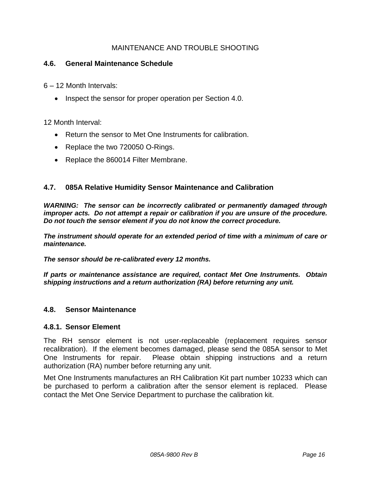#### MAINTENANCE AND TROUBLE SHOOTING

#### <span id="page-15-0"></span>**4.6. General Maintenance Schedule**

6 – 12 Month Intervals:

• Inspect the sensor for proper operation per Section 4.0.

12 Month Interval:

- Return the sensor to Met One Instruments for calibration.
- Replace the two 720050 O-Rings.
- Replace the 860014 Filter Membrane.

#### <span id="page-15-1"></span>**4.7. 085A Relative Humidity Sensor Maintenance and Calibration**

*WARNING: The sensor can be incorrectly calibrated or permanently damaged through improper acts. Do not attempt a repair or calibration if you are unsure of the procedure. Do not touch the sensor element if you do not know the correct procedure.*

*The instrument should operate for an extended period of time with a minimum of care or maintenance.*

*The sensor should be re-calibrated every 12 months.*

*If parts or maintenance assistance are required, contact Met One Instruments. Obtain shipping instructions and a return authorization (RA) before returning any unit.*

#### <span id="page-15-2"></span>**4.8. Sensor Maintenance**

#### <span id="page-15-3"></span>**4.8.1. Sensor Element**

The RH sensor element is not user-replaceable (replacement requires sensor recalibration). If the element becomes damaged, please send the 085A sensor to Met One Instruments for repair. Please obtain shipping instructions and a return authorization (RA) number before returning any unit.

Met One Instruments manufactures an RH Calibration Kit part number 10233 which can be purchased to perform a calibration after the sensor element is replaced. Please contact the Met One Service Department to purchase the calibration kit.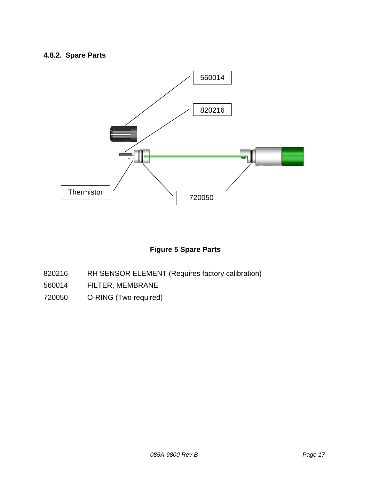## <span id="page-16-0"></span>**4.8.2. Spare Parts**



## **Figure 5 Spare Parts**

- 820216 RH SENSOR ELEMENT (Requires factory calibration)
- 560014 FILTER, MEMBRANE
- 720050 O-RING (Two required)